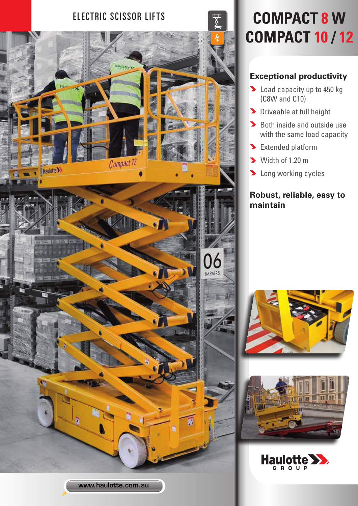

# **COMPACT 10 / 12**

## **Exceptional productivity**

- **D** Load capacity up to 450 kg (C8W and C10)
- **Driveable at full height**
- Both inside and outside use with the same load capacity
- Extended platform
- Width of 1.20 m
- **Long working cycles**

## **Robust, reliable, easy to maintain**